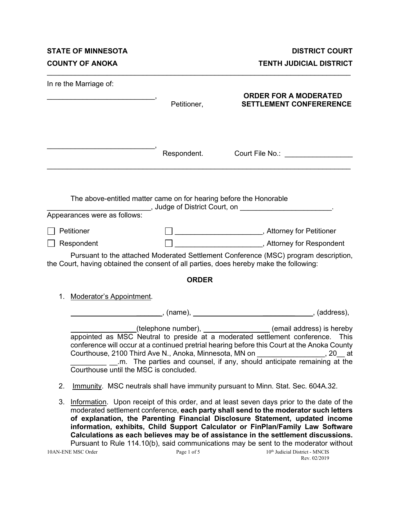**STATE OF MINNESOTA DISTRICT COURT COUNTY OF ANOKA TENTH JUDICIAL DISTRICT** 

| In re the Marriage of:                                                                                                |              |                                                                                                                                                                                                                                                                                                |
|-----------------------------------------------------------------------------------------------------------------------|--------------|------------------------------------------------------------------------------------------------------------------------------------------------------------------------------------------------------------------------------------------------------------------------------------------------|
| <u> 1989 - Johann Barn, mars ann an t-Amhain an t-Amhain an t-Amhain an t-Amhain an t-Amhain an t-Amhain an t-Amh</u> | Petitioner,  | <b>ORDER FOR A MODERATED</b><br><b>SETTLEMENT CONFERERENCE</b>                                                                                                                                                                                                                                 |
|                                                                                                                       |              |                                                                                                                                                                                                                                                                                                |
|                                                                                                                       |              | Respondent. Court File No.:                                                                                                                                                                                                                                                                    |
| The above-entitled matter came on for hearing before the Honorable<br>Appearances were as follows:                    |              | ____________________________, Judge of District Court, on ______________________                                                                                                                                                                                                               |
| Petitioner                                                                                                            |              | □ ____________________________, Attorney for Petitioner                                                                                                                                                                                                                                        |
| Respondent                                                                                                            |              | ________________________________, Attorney for Respondent                                                                                                                                                                                                                                      |
| the Court, having obtained the consent of all parties, does hereby make the following:                                |              | Pursuant to the attached Moderated Settlement Conference (MSC) program description,                                                                                                                                                                                                            |
|                                                                                                                       | <b>ORDER</b> |                                                                                                                                                                                                                                                                                                |
| <b>Moderator's Appointment.</b><br>1.                                                                                 |              |                                                                                                                                                                                                                                                                                                |
|                                                                                                                       |              |                                                                                                                                                                                                                                                                                                |
| Courthouse until the MSC is concluded.                                                                                |              | (email address) is hereby<br>appointed as MSC Neutral to preside at a moderated settlement conference. This<br>conference will occur at a continued pretrial hearing before this Court at the Anoka County<br>Courthouse, 2100 Third Ave N., Anoka, Minnesota, MN on ________________, 20__ at |
| 2.                                                                                                                    |              | Immunity. MSC neutrals shall have immunity pursuant to Minn. Stat. Sec. 604A.32.                                                                                                                                                                                                               |
| 3.                                                                                                                    |              | Information. Upon receipt of this order, and at least seven days prior to the date of the<br>moderated settlement conference, each party shall send to the moderator such letters<br>of explanation, the Parenting Financial Disclosure Statement, updated income                              |

\_\_\_\_\_\_\_\_\_\_\_\_\_\_\_\_\_\_\_\_\_\_\_\_\_\_\_\_\_\_\_\_\_\_\_\_\_\_\_\_\_\_\_\_\_\_\_\_\_\_\_\_\_\_\_\_\_\_\_\_\_\_\_\_\_\_\_\_\_\_\_\_\_\_\_\_

10AN-ENE MSC Order Page 1 of 5 10<sup>th</sup> Judicial District - MNCIS Rev. 02/2019 **Calculations as each believes may be of assistance in the settlement discussions.** Pursuant to Rule 114.10(b), said communications may be sent to the moderator without

**information, exhibits, Child Support Calculator or FinPlan/Family Law Software**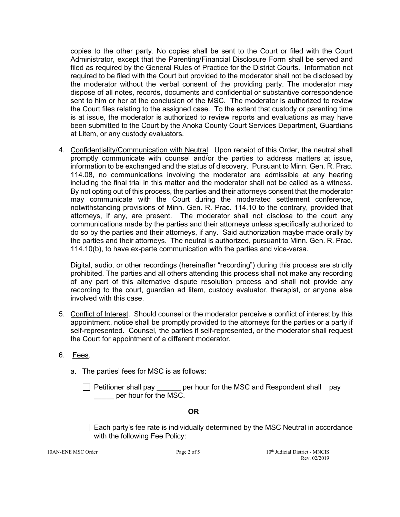copies to the other party. No copies shall be sent to the Court or filed with the Court Administrator, except that the Parenting/Financial Disclosure Form shall be served and filed as required by the General Rules of Practice for the District Courts. Information not required to be filed with the Court but provided to the moderator shall not be disclosed by the moderator without the verbal consent of the providing party. The moderator may dispose of all notes, records, documents and confidential or substantive correspondence sent to him or her at the conclusion of the MSC. The moderator is authorized to review the Court files relating to the assigned case. To the extent that custody or parenting time is at issue, the moderator is authorized to review reports and evaluations as may have been submitted to the Court by the Anoka County Court Services Department, Guardians at Litem, or any custody evaluators.

4. Confidentiality/Communication with Neutral. Upon receipt of this Order, the neutral shall promptly communicate with counsel and/or the parties to address matters at issue, information to be exchanged and the status of discovery. Pursuant to Minn. Gen. R. Prac. 114.08, no communications involving the moderator are admissible at any hearing including the final trial in this matter and the moderator shall not be called as a witness. By not opting out of this process, the parties and their attorneys consent that the moderator may communicate with the Court during the moderated settlement conference, notwithstanding provisions of Minn. Gen. R. Prac. 114.10 to the contrary, provided that attorneys, if any, are present. The moderator shall not disclose to the court any communications made by the parties and their attorneys unless specifically authorized to do so by the parties and their attorneys, if any. Said authorization maybe made orally by the parties and their attorneys. The neutral is authorized, pursuant to Minn. Gen. R. Prac. 114.10(b), to have ex-parte communication with the parties and vice-versa.

Digital, audio, or other recordings (hereinafter "recording") during this process are strictly prohibited. The parties and all others attending this process shall not make any recording of any part of this alternative dispute resolution process and shall not provide any recording to the court, guardian ad litem, custody evaluator, therapist, or anyone else involved with this case.

- 5. Conflict of Interest. Should counsel or the moderator perceive a conflict of interest by this appointment, notice shall be promptly provided to the attorneys for the parties or a party if self-represented. Counsel, the parties if self-represented, or the moderator shall request the Court for appointment of a different moderator.
- 6. Fees.
	- a. The parties' fees for MSC is as follows:

 $\Box$  Petitioner shall pay er hour for the MSC and Respondent shall pay \_\_\_\_\_ per hour for the MSC.

#### **OR**

 $\Box$  Each party's fee rate is individually determined by the MSC Neutral in accordance with the following Fee Policy: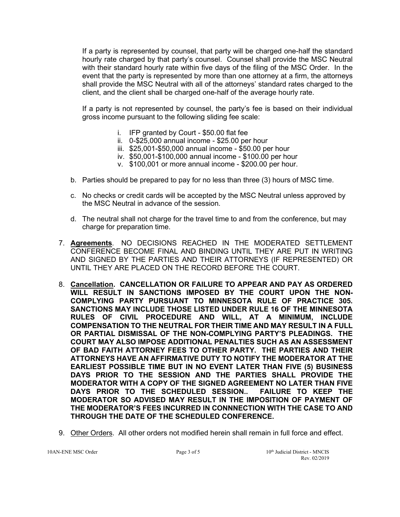If a party is represented by counsel, that party will be charged one-half the standard hourly rate charged by that party's counsel. Counsel shall provide the MSC Neutral with their standard hourly rate within five days of the filing of the MSC Order. In the event that the party is represented by more than one attorney at a firm, the attorneys shall provide the MSC Neutral with all of the attorneys' standard rates charged to the client, and the client shall be charged one-half of the average hourly rate.

If a party is not represented by counsel, the party's fee is based on their individual gross income pursuant to the following sliding fee scale:

- i. IFP granted by Court \$50.00 flat fee
- ii. 0-\$25,000 annual income \$25.00 per hour
- iii. \$25,001-\$50,000 annual income \$50.00 per hour
- iv. \$50,001-\$100,000 annual income \$100.00 per hour
- v. \$100,001 or more annual income \$200.00 per hour.
- b. Parties should be prepared to pay for no less than three (3) hours of MSC time.
- c. No checks or credit cards will be accepted by the MSC Neutral unless approved by the MSC Neutral in advance of the session.
- d. The neutral shall not charge for the travel time to and from the conference, but may charge for preparation time.
- 7. **Agreements**. NO DECISIONS REACHED IN THE MODERATED SETTLEMENT CONFERENCE BECOME FINAL AND BINDING UNTIL THEY ARE PUT IN WRITING AND SIGNED BY THE PARTIES AND THEIR ATTORNEYS (IF REPRESENTED) OR UNTIL THEY ARE PLACED ON THE RECORD BEFORE THE COURT.
- 8. **Cancellation. CANCELLATION OR FAILURE TO APPEAR AND PAY AS ORDERED WILL RESULT IN SANCTIONS IMPOSED BY THE COURT UPON THE NON-COMPLYING PARTY PURSUANT TO MINNESOTA RULE OF PRACTICE 305. SANCTIONS MAY INCLUDE THOSE LISTED UNDER RULE 16 OF THE MINNESOTA RULES OF CIVIL PROCEDURE AND WILL, AT A MINIMUM, INCLUDE COMPENSATION TO THE NEUTRAL FOR THEIR TIME AND MAY RESULT IN A FULL OR PARTIAL DISMISSAL OF THE NON-COMPLYING PARTY'S PLEADINGS. THE COURT MAY ALSO IMPOSE ADDITIONAL PENALTIES SUCH AS AN ASSESSMENT OF BAD FAITH ATTORNEY FEES TO OTHER PARTY. THE PARTIES AND THEIR ATTORNEYS HAVE AN AFFIRMATIVE DUTY TO NOTIFY THE MODERATOR AT THE EARLIEST POSSIBLE TIME BUT IN NO EVENT LATER THAN FIVE (5) BUSINESS DAYS PRIOR TO THE SESSION AND THE PARTIES SHALL PROVIDE THE MODERATOR WITH A COPY OF THE SIGNED AGREEMENT NO LATER THAN FIVE**  DAYS PRIOR TO THE SCHEDULED SESSION.. **MODERATOR SO ADVISED MAY RESULT IN THE IMPOSITION OF PAYMENT OF THE MODERATOR'S FEES INCURRED IN CONNNECTION WITH THE CASE TO AND THROUGH THE DATE OF THE SCHEDULED CONFERENCE.**
- 9. Other Orders. All other orders not modified herein shall remain in full force and effect.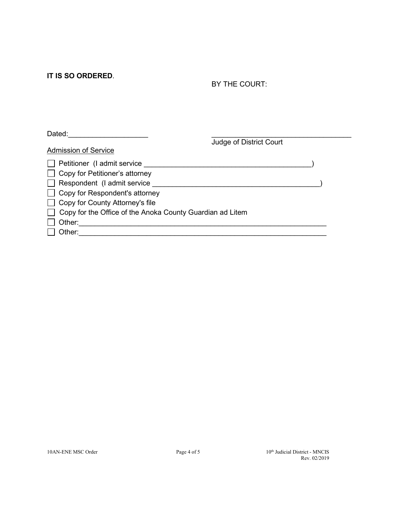**IT IS SO ORDERED**.

BY THE COURT:

| Dated:                                                           |                         |  |
|------------------------------------------------------------------|-------------------------|--|
| <b>Admission of Service</b>                                      | Judge of District Court |  |
| $\Box$ Petitioner (I admit service                               |                         |  |
| $\Box$ Copy for Petitioner's attorney                            |                         |  |
| $\Box$ Respondent (I admit service                               |                         |  |
| $\Box$ Copy for Respondent's attorney                            |                         |  |
| $\Box$ Copy for County Attorney's file                           |                         |  |
| $\Box$ Copy for the Office of the Anoka County Guardian ad Litem |                         |  |
| Other:                                                           |                         |  |
| Other:                                                           |                         |  |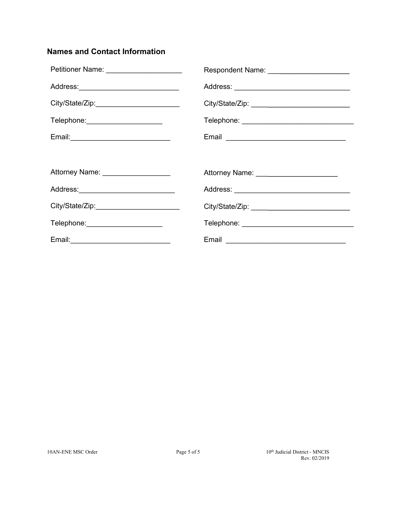# **Names and Contact Information**

| Petitioner Name: _____________________ | Respondent Name: ________________________        |
|----------------------------------------|--------------------------------------------------|
| Address:_____________________________  |                                                  |
| City/State/Zip:                        |                                                  |
| Telephone: _____________________       |                                                  |
|                                        |                                                  |
|                                        |                                                  |
| Attorney Name: ___________________     | Attorney Name: ________________________          |
| Address:____________________________   |                                                  |
|                                        |                                                  |
| Telephone: ______________________      |                                                  |
|                                        | Email <u>___________________________________</u> |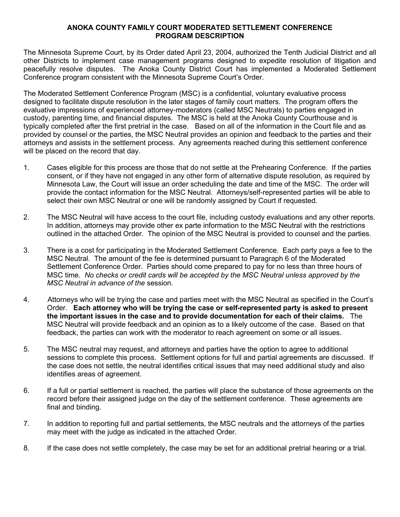### **ANOKA COUNTY FAMILY COURT MODERATED SETTLEMENT CONFERENCE PROGRAM DESCRIPTION**

The Minnesota Supreme Court, by its Order dated April 23, 2004, authorized the Tenth Judicial District and all other Districts to implement case management programs designed to expedite resolution of litigation and peacefully resolve disputes. The Anoka County District Court has implemented a Moderated Settlement Conference program consistent with the Minnesota Supreme Court's Order.

The Moderated Settlement Conference Program (MSC) is a confidential, voluntary evaluative process designed to facilitate dispute resolution in the later stages of family court matters. The program offers the evaluative impressions of experienced attorney-moderators (called MSC Neutrals) to parties engaged in custody, parenting time, and financial disputes. The MSC is held at the Anoka County Courthouse and is typically completed after the first pretrial in the case. Based on all of the information in the Court file and as provided by counsel or the parties, the MSC Neutral provides an opinion and feedback to the parties and their attorneys and assists in the settlement process. Any agreements reached during this settlement conference will be placed on the record that day.

- 1. Cases eligible for this process are those that do not settle at the Prehearing Conference. If the parties consent, or if they have not engaged in any other form of alternative dispute resolution, as required by Minnesota Law, the Court will issue an order scheduling the date and time of the MSC. The order will provide the contact information for the MSC Neutral. Attorneys/self-represented parties will be able to select their own MSC Neutral or one will be randomly assigned by Court if requested.
- 2. The MSC Neutral will have access to the court file, including custody evaluations and any other reports. In addition, attorneys may provide other ex parte information to the MSC Neutral with the restrictions outlined in the attached Order. The opinion of the MSC Neutral is provided to counsel and the parties.
- 3. There is a cost for participating in the Moderated Settlement Conference. Each party pays a fee to the MSC Neutral. The amount of the fee is determined pursuant to Paragraph 6 of the Moderated Settlement Conference Order. Parties should come prepared to pay for no less than three hours of MSC time. *No checks or credit cards will be accepted by the MSC Neutral unless approved by the MSC Neutral in advance of the* session*.*
- 4. Attorneys who will be trying the case and parties meet with the MSC Neutral as specified in the Court's Order. **Each attorney who will be trying the case or self-represented party is asked to present the important issues in the case and to provide documentation for each of their claims.** The MSC Neutral will provide feedback and an opinion as to a likely outcome of the case. Based on that feedback, the parties can work with the moderator to reach agreement on some or all issues.
- 5. The MSC neutral may request, and attorneys and parties have the option to agree to additional sessions to complete this process. Settlement options for full and partial agreements are discussed. If the case does not settle, the neutral identifies critical issues that may need additional study and also identifies areas of agreement.
- 6. If a full or partial settlement is reached, the parties will place the substance of those agreements on the record before their assigned judge on the day of the settlement conference. These agreements are final and binding.
- 7. In addition to reporting full and partial settlements, the MSC neutrals and the attorneys of the parties may meet with the judge as indicated in the attached Order.
- 8. If the case does not settle completely, the case may be set for an additional pretrial hearing or a trial.